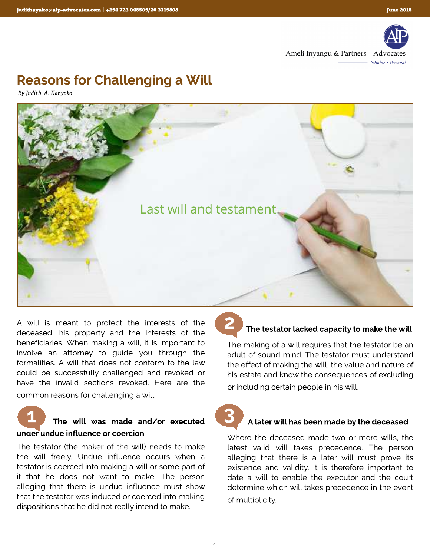

# Reasons for Challenging a Will

**By Judith A. Kanyoko**



A will is meant to protect the interests of the deceased, his property and the interests of the beneficiaries. When making a will, it is important to involve an attorney to guide you through the formalities. A will that does not conform to the law could be successfully challenged and revoked or have the invalid sections revoked. Here are the common reasons for challenging a will:

#### The will was made and/or executed under undue influence or coercion 1

The testator (the maker of the will) needs to make the will freely. Undue influence occurs when a testator is coerced into making a will or some part of it that he does not want to make. The person alleging that there is undue influence must show that the testator was induced or coerced into making dispositions that he did not really intend to make.

## The testator lacked capacity to make the will

The making of a will requires that the testator be an adult of sound mind. The testator must understand the effect of making the will, the value and nature of his estate and know the consequences of excluding or including certain people in his will.

# 3

2

#### A later will has been made by the deceased

Where the deceased made two or more wills, the latest valid will takes precedence. The person alleging that there is a later will must prove its existence and validity. It is therefore important to date a will to enable the executor and the court determine which will takes precedence in the event of multiplicity.